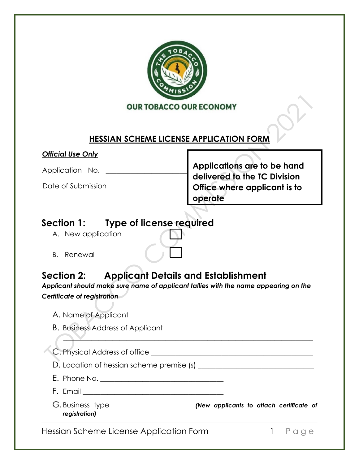

#### **HESSIAN SCHEME LICENSE APPLICATION FORM**

#### *Official Use Only*

Application No. \_\_\_\_\_\_\_\_\_\_\_\_\_\_\_\_\_\_\_\_\_\_\_

Date of Submission \_\_\_\_\_\_\_\_\_\_\_\_\_\_\_\_\_\_\_\_

**Applications are to be hand delivered to the TC Division Office where applicant is to operate** 

## **Section 1: Type of license required**

J

- A. New application
- B. Renewal

# **Section 2: Applicant Details and Establishment**

*Applicant should make sure name of applicant tallies with the name appearing on the Certificate of registration*

| <b>B.</b> Business Address of Applicant                                                            |    |
|----------------------------------------------------------------------------------------------------|----|
| C. Physical Address of office                                                                      |    |
| D. Location of hessian scheme premise (s)                                                          |    |
|                                                                                                    |    |
| F. Email <u>_____________________________</u>                                                      |    |
| G. Business type ________________________(New applicants to attach certificate of<br>registration) |    |
| Hessian Scheme License Application Form                                                            | Pa |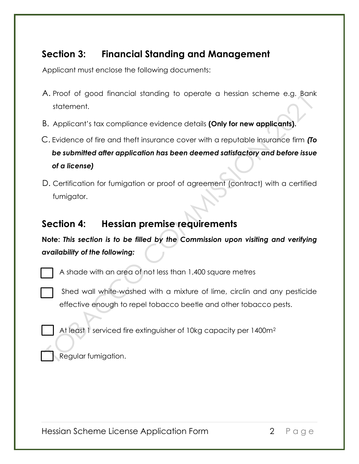## **Section 3: Financial Standing and Management**

Applicant must enclose the following documents:

- A. Proof of good financial standing to operate a hessian scheme e.g. Bank statement.
- B. Applicant's tax compliance evidence details **(Only for new applicants).**
- C. Evidence of fire and theft insurance cover with a reputable insurance firm *(To be submitted after application has been deemed satisfactory and before issue of a license)*
- D. Certification for fumigation or proof of agreement (contract) with a certified fumigator.

## **Section 4: Hessian premise requirements**

**Note:** *This section is to be filled by the Commission upon visiting and verifying availability of the following:*

A shade with an area of not less than 1,400 square metres

Shed wall white-washed with a mixture of lime, circlin and any pesticide effective enough to repel tobacco beetle and other tobacco pests.

At least 1 serviced fire extinguisher of 10kg capacity per 1400m<sup>2</sup>

Regular fumigation.

Hessian Scheme License Application Form 2 P a g e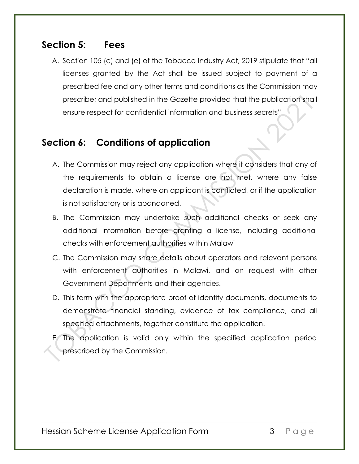#### **Section 5: Fees**

A. Section 105 (c) and (e) of the Tobacco Industry Act, 2019 stipulate that "all licenses granted by the Act shall be issued subject to payment of a prescribed fee and any other terms and conditions as the Commission may prescribe; and published in the Gazette provided that the publication shall ensure respect for confidential information and business secrets"

### **Section 6: Conditions of application**

- A. The Commission may reject any application where it considers that any of the requirements to obtain a license are not met, where any false declaration is made, where an applicant is conflicted, or if the application is not satisfactory or is abandoned.
- B. The Commission may undertake such additional checks or seek any additional information before granting a license, including additional checks with enforcement authorities within Malawi
- C. The Commission may share details about operators and relevant persons with enforcement authorities in Malawi, and on request with other Government Departments and their agencies.
- D. This form with the appropriate proof of identity documents, documents to demonstrate financial standing, evidence of tax compliance, and all specified attachments, together constitute the application.
- E. The application is valid only within the specified application period prescribed by the Commission.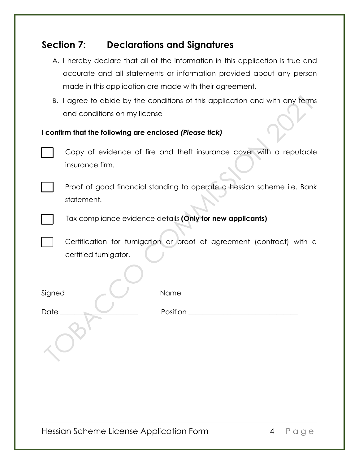### **Section 7: Declarations and Signatures**

|                                                                              | A. I hereby declare that all of the information in this application is true and |  |
|------------------------------------------------------------------------------|---------------------------------------------------------------------------------|--|
|                                                                              | accurate and all statements or information provided about any person            |  |
|                                                                              | made in this application are made with their agreement.                         |  |
| B. I agree to abide by the conditions of this application and with any terms |                                                                                 |  |
|                                                                              | and conditions on my license                                                    |  |
|                                                                              |                                                                                 |  |

#### **I confirm that the following are enclosed** *(Please tick)*



Copy of evidence of fire and theft insurance cover with a reputable insurance firm.



Proof of good financial standing to operate a hessian scheme i.e. Bank statement.



Tax compliance evidence details **(Only for new applicants)** 

 Certification for fumigation or proof of agreement (contract) with a certified fumigator.

| Signed ___ | Name               |
|------------|--------------------|
| Date       | Position _________ |
|            |                    |

Hessian Scheme License Application Form 4 P a g e